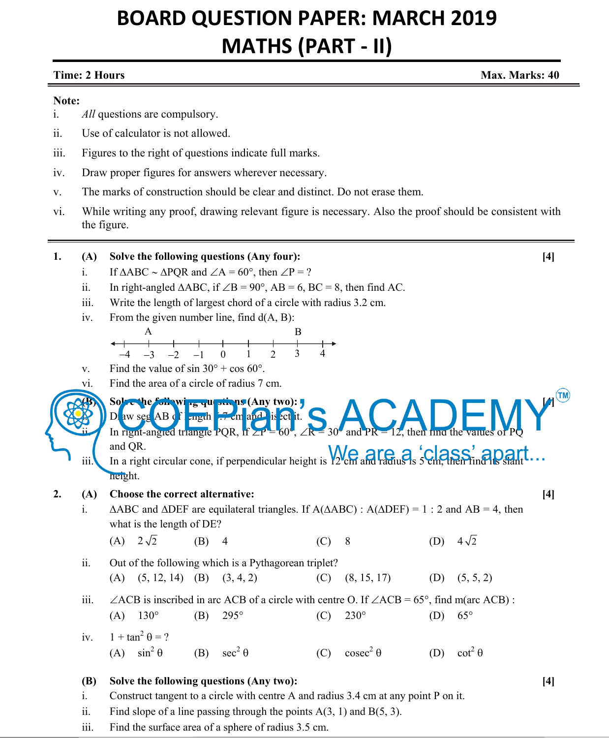# **BOARD QUESTION PAPER: MARCH 2019 MATHS (PART - II)**

## **Time: 2 Hours Max. Marks: 40 Max. Marks: 40 Max. Marks: 40**

### **Note:**

- i. *All* questions are compulsory.
- ii. Use of calculator is not allowed.
- iii. Figures to the right of questions indicate full marks.
- iv. Draw proper figures for answers wherever necessary.
- v. The marks of construction should be clear and distinct. Do not erase them.
- vi. While writing any proof, drawing relevant figure is necessary. Also the proof should be consistent with the figure.

**1. (A) Solve the following questions (Any four): [4]** 

|    | ii.                          |                                                                                                                                                                                                                                                                                                                                                                                            |     | If $\triangle ABC \sim \triangle PQR$ and $\angle A = 60^{\circ}$ , then $\angle P = ?$                                              |     |                 |     |                 |       |
|----|------------------------------|--------------------------------------------------------------------------------------------------------------------------------------------------------------------------------------------------------------------------------------------------------------------------------------------------------------------------------------------------------------------------------------------|-----|--------------------------------------------------------------------------------------------------------------------------------------|-----|-----------------|-----|-----------------|-------|
|    |                              | In right-angled $\triangle ABC$ , if $\angle B = 90^\circ$ , AB = 6, BC = 8, then find AC.                                                                                                                                                                                                                                                                                                 |     |                                                                                                                                      |     |                 |     |                 |       |
|    | iii.                         | Write the length of largest chord of a circle with radius 3.2 cm.                                                                                                                                                                                                                                                                                                                          |     |                                                                                                                                      |     |                 |     |                 |       |
|    | iv.                          | From the given number line, find $d(A, B)$ :                                                                                                                                                                                                                                                                                                                                               |     |                                                                                                                                      |     |                 |     |                 |       |
|    |                              | A                                                                                                                                                                                                                                                                                                                                                                                          |     |                                                                                                                                      | B   |                 |     |                 |       |
|    |                              | $-3$<br>$-4$<br>$-2$                                                                                                                                                                                                                                                                                                                                                                       |     | $\overline{2}$<br>$\mathbf{0}$<br>1                                                                                                  | 3   |                 |     |                 |       |
|    | V.                           | Find the value of $\sin 30^\circ + \cos 60^\circ$ .                                                                                                                                                                                                                                                                                                                                        |     |                                                                                                                                      |     |                 |     |                 |       |
|    | vi.                          | Find the area of a circle of radius 7 cm.                                                                                                                                                                                                                                                                                                                                                  |     |                                                                                                                                      |     |                 |     |                 |       |
|    | iii.                         | (TM)<br>Solve the following questions (Any two):<br>D aw seg AB of mgth 7 cm and is ed it.<br>In right-angled triangle PQR, if $\angle P = 60^\circ$ , $\angle R = 30^\circ$ and PR = 12, then find the values of PQ<br>and QR.<br>and $Q$ <sup>K</sup> . In a right circular cone, if perpendicular height is $V_2$ <sup>k</sup> cm and radius is $S_2$ km, then finally stant<br>height. |     |                                                                                                                                      |     |                 |     |                 |       |
|    |                              | Choose the correct alternative:                                                                                                                                                                                                                                                                                                                                                            |     |                                                                                                                                      |     |                 |     |                 | $[4]$ |
|    |                              |                                                                                                                                                                                                                                                                                                                                                                                            |     |                                                                                                                                      |     |                 |     |                 |       |
| 2. | (A)                          |                                                                                                                                                                                                                                                                                                                                                                                            |     |                                                                                                                                      |     |                 |     |                 |       |
|    | $\mathbf{i}$ .               |                                                                                                                                                                                                                                                                                                                                                                                            |     | $\triangle$ ABC and $\triangle$ DEF are equilateral triangles. If A( $\triangle$ ABC) : A( $\triangle$ DEF) = 1 : 2 and AB = 4, then |     |                 |     |                 |       |
|    |                              | what is the length of DE?                                                                                                                                                                                                                                                                                                                                                                  |     |                                                                                                                                      |     |                 |     |                 |       |
|    |                              | (A) $2\sqrt{2}$                                                                                                                                                                                                                                                                                                                                                                            | (B) | $\overline{4}$                                                                                                                       | (C) | 8               | (D) | $4\sqrt{2}$     |       |
|    | ii.                          |                                                                                                                                                                                                                                                                                                                                                                                            |     | Out of the following which is a Pythagorean triplet?                                                                                 |     |                 |     |                 |       |
|    |                              | (A) $(5, 12, 14)$ (B) $(3, 4, 2)$                                                                                                                                                                                                                                                                                                                                                          |     |                                                                                                                                      | (C) | (8, 15, 17)     | (D) | (5, 5, 2)       |       |
|    | iii.                         |                                                                                                                                                                                                                                                                                                                                                                                            |     |                                                                                                                                      |     |                 |     |                 |       |
|    |                              |                                                                                                                                                                                                                                                                                                                                                                                            |     | $\angle$ ACB is inscribed in arc ACB of a circle with centre O. If $\angle$ ACB = 65°, find m(arc ACB) :                             |     |                 |     | $65^{\circ}$    |       |
|    |                              | $130^\circ$<br>(A)                                                                                                                                                                                                                                                                                                                                                                         | (B) | 295°                                                                                                                                 | (C) | $230^\circ$     | (D) |                 |       |
|    | iv.                          | $1 + \tan^2 \theta = ?$                                                                                                                                                                                                                                                                                                                                                                    |     |                                                                                                                                      |     |                 |     |                 |       |
|    |                              | $\sin^2 \theta$<br>(A)                                                                                                                                                                                                                                                                                                                                                                     | (B) | $\sec^2 \theta$                                                                                                                      | (C) | $\csc^2 \theta$ | (D) | $\cot^2 \theta$ |       |
|    |                              |                                                                                                                                                                                                                                                                                                                                                                                            |     |                                                                                                                                      |     |                 |     |                 |       |
|    | <b>(B)</b><br>$\mathbf{i}$ . |                                                                                                                                                                                                                                                                                                                                                                                            |     | Solve the following questions (Any two):<br>Construct tangent to a circle with centre A and radius 3.4 cm at any point P on it.      |     |                 |     |                 | $[4]$ |
|    |                              |                                                                                                                                                                                                                                                                                                                                                                                            |     |                                                                                                                                      |     |                 |     |                 |       |
|    |                              |                                                                                                                                                                                                                                                                                                                                                                                            |     |                                                                                                                                      |     |                 |     |                 |       |

iii. Find the surface area of a sphere of radius 3.5 cm.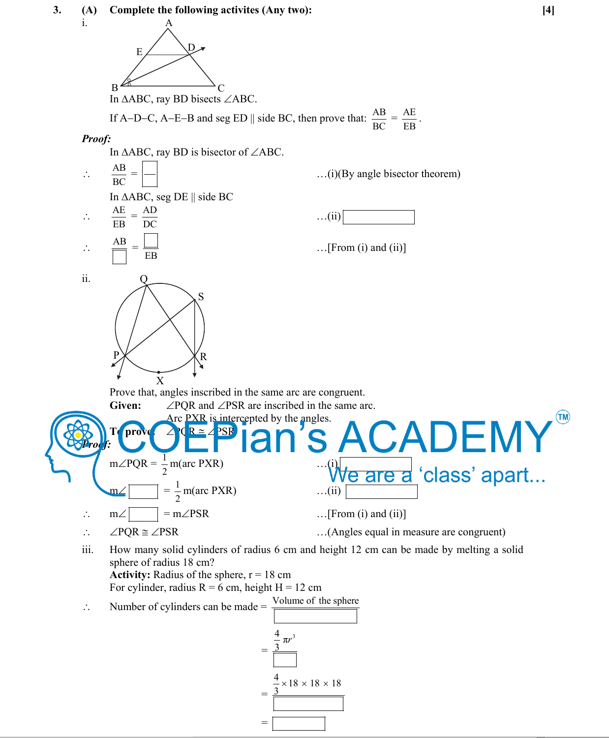

 $=$   $\frac{1}{2}$   $\frac{1}{2}$   $\frac{1}{2}$   $\frac{1}{2}$   $\frac{1}{2}$   $\frac{1}{2}$   $\frac{1}{2}$   $\frac{1}{2}$   $\frac{1}{2}$   $\frac{1}{2}$   $\frac{1}{2}$   $\frac{1}{2}$   $\frac{1}{2}$   $\frac{1}{2}$   $\frac{1}{2}$   $\frac{1}{2}$   $\frac{1}{2}$   $\frac{1}{2}$   $\frac{1}{2}$   $\frac{1}{2}$   $\frac{1}{2}$   $\frac{1}{2$ 

 $\therefore$   $\angle PQR \cong \angle PSR$  ...(Angles equal in measure are congruent)

 iii. How many solid cylinders of radius 6 cm and height 12 cm can be made by melting a solid sphere of radius 18 cm? **Activity:** Radius of the sphere,  $r = 18$  cm

For cylinder, radius  $R = 6$  cm, height  $H = 12$  cm

- 
- $\therefore$  Number of cylinders can be made =  $\frac{\text{Volume of the sphere}}{\sqrt{1-\frac{1}{n}}}\right)$  $=$   $\frac{1}{2}$   $\frac{1}{2}$   $\frac{1}{2}$   $\frac{1}{2}$   $\frac{1}{2}$   $\frac{1}{2}$   $\frac{1}{2}$   $\frac{1}{2}$   $\frac{1}{2}$   $\frac{1}{2}$   $\frac{1}{2}$   $\frac{1}{2}$   $\frac{1}{2}$   $\frac{1}{2}$   $\frac{1}{2}$   $\frac{1}{2}$   $\frac{1}{2}$   $\frac{1}{2}$   $\frac{1}{2}$   $\frac{1}{2}$   $\frac{1}{2}$   $\frac{1}{2$  $\frac{4}{3} \pi r^3$  $=$   $\frac{1}{2}$   $\frac{1}{2}$   $\frac{1}{2}$   $\frac{1}{2}$   $\frac{1}{2}$   $\frac{1}{2}$   $\frac{1}{2}$   $\frac{1}{2}$   $\frac{1}{2}$   $\frac{1}{2}$   $\frac{1}{2}$   $\frac{1}{2}$   $\frac{1}{2}$   $\frac{1}{2}$   $\frac{1}{2}$   $\frac{1}{2}$   $\frac{1}{2}$   $\frac{1}{2}$   $\frac{1}{2}$   $\frac{1}{2}$   $\frac{1}{2}$   $\frac{1}{2$  $\frac{4}{3}$  × 18 × 18 × 18 3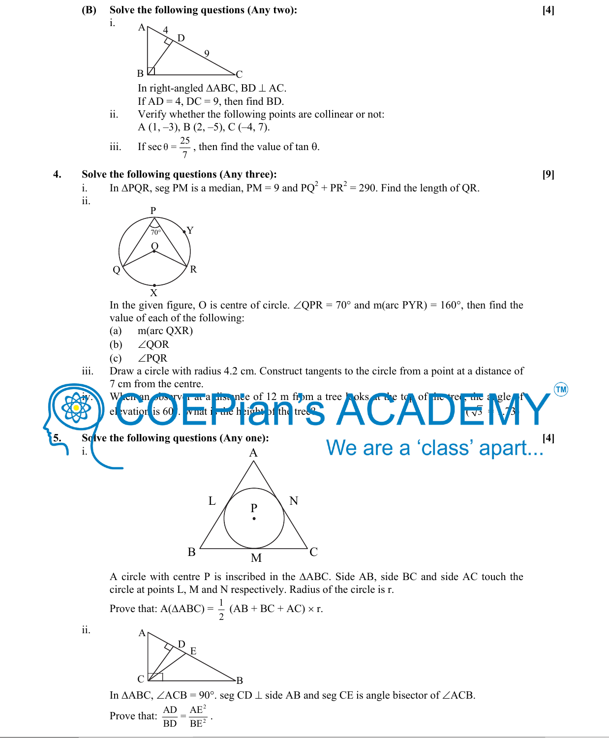#### **(B) Solve the following questions (Any two): [4]**



In right-angled  $\triangle ABC$ , BD  $\perp$  AC.

If  $AD = 4$ ,  $DC = 9$ , then find BD.

- ii. Verify whether the following points are collinear or not: A  $(1, -3)$ , B  $(2, -5)$ , C  $(-4, 7)$ .
- iii. If sec  $\theta = \frac{25}{7}$ , then find the value of tan  $\theta$ .

#### **4. Solve the following questions (Any three): [9]**

- i. In  $\triangle PQR$ , seg PM is a median, PM = 9 and  $PQ^2 + PR^2 = 290$ . Find the length of QR.
	- ii.

i.



In the given figure, O is centre of circle.  $\angle QPR = 70^\circ$  and m(arc PYR) = 160°, then find the value of each of the following:

- (a) m(arc QXR)
- (b)  $\angle$  QOR
- (c)  $\angle$ PQR
- iii. Draw a circle with radius 4.2 cm. Construct tangents to the circle from a point at a distance of 7 cm from the centre.

elevation is 60. What is the height of the tree?  $\Box$   $\Box$   $\Box$   $\Box$ 

Solve the following questions (Any one):<br>
A
We are a 'class' apart...<sup>[4]</sup> i.



When an observer at a time nee of 12 m from a tree, toks at the

A circle with centre P is inscribed in the  $\triangle ABC$ . Side AB, side BC and side AC touch the circle at points L, M and N respectively. Radius of the circle is r.

Prove that:  $A(\triangle ABC) = \frac{1}{2} (AB + BC + AC) \times r$ . A  $\sum_{E}$ 

ii.



In  $\triangle ABC$ ,  $\angle ACB = 90^\circ$ . seg CD  $\perp$  side AB and seg CE is angle bisector of  $\angle ACB$ .

Prove that:  $\frac{AD}{BD} = \frac{AE^2}{BE^2}$ .

 $(\mathsf{TM})$